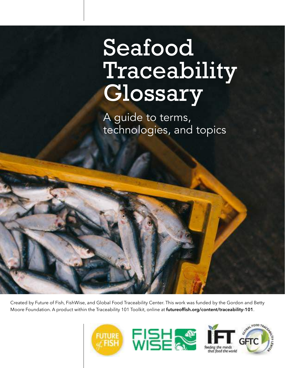# Seafood Traceability Glossary

A guide to terms, technologies, and topics

Created by Future of Fish, FishWise, and Global Food Traceability Center. This work was funded by the Gordon and Betty Moore Foundation. A product within the Traceability 101 Toolkit, online at **futureoffish.org/content/traceability-101**.





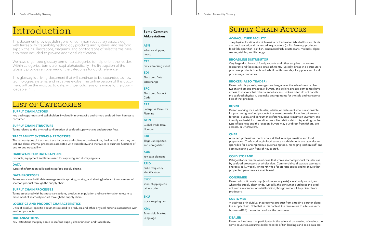#### **3** Seafood Traceability Glossary

# Supply Chain Actors

#### **AQUACULTURE FACILITY**

The physical location at which marine or freshwater fish, shellfish, or plants are bred, reared, and harvested. Aquaculture (or fish farming) produces food fish, sport fish, bait fish, ornamental fish, crustaceans, mollusks, algae, sea vegetables, and fish eggs.

#### **BROADLINE DISTRIBUTOR**

Very large distributor of food products and other supplies that serves restaurant and foodservice establishments. Typically, broadline distributors purchase products from hundreds, if not thousands, of suppliers and food processing companies.

#### **BROKER (ALSO, TRADER)**

Person who buys, sells, arranges, and negotiates the sale of seafood be tween and among *[producers,](#page-2-0) [buyers](#page-1-0)*, and sellers. Brokers sometimes have access to markets that others cannot access. Brokers often do not handle the seafood physically, but make arrangements for the sale and transporta tion of that product.

## <span id="page-1-0"></span>**BUYER**

Person working for a wholesaler, retailer, or restaurant who is responsible for purchasing seafood products that meet pre-established requirements for price, quality, and consumer preference. Buyers maintain *inventory* and identify and establish new, direct supplier relationships. Depending on the type of business and the location, buyers may buy direct from fishers, pro cessors, or *[wholesalers](#page-2-1)*.

#### **CHEF**

A trained professional cook who is skilled in recipe creation and food preparation. Chefs working in food service establishments are typically re sponsible for planning menus, purchasing food, managing kitchen staff, and communicating with front-of-house staff.

We have organized glossary terms into categories to help orient the reader. Within categories, terms are listed alphabetically. The first section of the glossary provides an overview of the categories for quick reference.

## **COLD STORAGE**

Refrigerator or freezer warehouse that stores seafood product for later use by seafood processors or wholesalers. Commercial cold-storage operators charge a daily, weekly, or monthly fee for storage space and to ensure that proper temperatures are maintained.

## <span id="page-1-1"></span>**CONSUMER**

Person who ultimately buys (and potentially eats) a seafood product, and where the supply chain ends. Typically, the consumer purchases the prod uct from a restaurant or retail location, though some will buy direct from producers.

#### **CUSTOMER**

A business or individual that receives product from a trading partner along the supply chain. Note that in this context, the term refers to a business-tobusiness (B2B) transaction and not the consumer.

#### **DEALER**

Person or business that participates in the sale and processing of seafood. In some countries, accurate dealer records of fish landings and sales data are

# <span id="page-1-2"></span>Introduction

This document provides definitions for common vocabulary associated with traceability, traceability technology products and systems, and seafood supply chains. Illustrations, diagrams, and photographs of select terms have also been included to provide additional clarification.

This glossary is a living document that will continue to be expanded as new technologies, systems, and initiatives evolve. The online version of this docu ment will be the most up to date, with periodic revisions made to the down loadable PDF.

# LIST OF CATEGORIES

## **Some Common Abbreviations**

#### **ASN**

advance shipping notice

**CTE**

critical tracking event

**EDI**

Electronic Data Interchange

## **EPC**

Electronic Product Code

#### **ERP**

Enterprise Resource Planning

#### **GTIN**

Global Trade Item Number

#### **IUU**

illegal, unreported, and unregulated

## **KDE**

key data element

## **RFID**

radio frequency identification

## **SSCC**

serial shipping con tainer code

#### **SKU**

stock keeping unit

**XML** Extensible Markup Language

## **SUPPLY CHAIN ACTORS**

Key trading partners and stakeholders involved in moving wild and farmed seafood from harvest to consumer.

## **SUPPLY CHAIN STRUCTURE**

Terms related to the physical configuration of seafood supply chains and product flow.

#### **TRACEABILITY SYSTEMS & PROCESSES**

The various types of track and trace hardware and software combinations, the kinds of data they col lect and share, internal processes associated with traceability, and the five core business functions of end-to-end traceability.

## **HARDWARE FOR DATA CAPTURE**

Products, equipment and labels used for capturing and displaying data.

#### **DATA**

Types of information collected in seafood supply chains.

#### **DATA PROCESSES**

Terms associated with data management (capturing, storing, and sharing) relevant to movement of seafood product through the supply chain.

#### **SUPPLY CHAIN PROCESSES**

Terms associated with business transactions, product manipulation and transformation relevant to movement of seafood product through the supply chain.

#### **LOGISTICS AND PRODUCT CHARACTERISTICS**

Units of product, specific documents related to products, and other physical materials associated with seafood products.

#### **ORGANIZATIONS**

Key institutions that play a role in seafood supply chain function and traceability.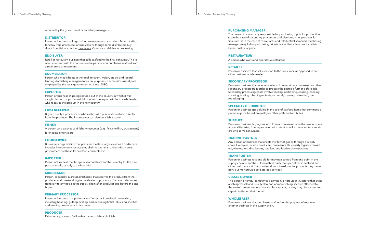required by the government or by fishery managers.

#### **DISTRIBUTOR**

Person or business selling seafood to restaurants or retailers. Most distribu tors buy from *[processors](#page-2-2)* or *[wholesalers](#page-2-1)*, though some distributors buy direct from fish auctions or *[producers](#page-2-0)*. Others also dabble in processing.

#### <span id="page-2-4"></span>**END BUYER**

Retail or restaurant business that sells seafood to the final consumer. This is often confused with the consumer—the person who purchases seafood from a retail store or restaurant.

#### **ENUMERATOR**

Person who meets boats at the dock to count, weigh, grade, and record landings for fishery management or tax purposes. Enumerators usually are employed by the local government or a local NGO.

#### **EXPORTER**

Person or business shipping seafood out of the country in which it was caught, landed, or processed. Most often, the export will be to a wholesaler who receives the product in the new country.

#### **FIRST RECEIVER**

Buyer (usually a processor or wholesaler) who purchases seafood directly from the producer. The first receiver can also be a fish auction.

#### **FISHER**

A person who catches wild fishery resources (e.g., fish, shellfish, crustaceans) for income or for sport.

#### **FOODSERVICE**

Business or organization that prepares meals in large volumes. Foodservice includes independent restaurants, chain restaurants, universities, hotels, government and hospital cafeterias, and caterers.

#### **IMPORTER**

Person or business that brings in seafood from another country for the pur pose of resale, usually to a *[wholesaler](#page-2-1)*.

#### <span id="page-2-3"></span>**MIDDLEMAN**

Person, especially in artisanal fisheries, that receives the product from the producer and passes along to the dealer or processor. Can also refer more generally to any node in the supply chain after producer and before the end buyer.

#### <span id="page-2-2"></span>**PRIMARY PROCESSOR**

Person or business that performs the first steps in seafood processing, including heading, gutting, scaling, and deboning finfish, shucking shellfish, and holding crustaceans in live tanks.

#### <span id="page-2-0"></span>**PRODUCER**

Fisher or aquaculture facility that harvests fish or shellfish.

#### **PURCHASING MANAGER**

The person in a company responsible for purchasing inputs for production (as in the case of secondary processors and distributors) or products for final sale (as in the case of restaurants and retail establishments). Purchasing managers may follow purchasing criteria related to certain product attri -

butes, quality, or price.

#### **RESTAURATEUR**

A person who owns and operates a restaurant.

#### **RETAILER**

Person or business that sells seafood to the consumer, as opposed to an other business or wholesaler.

#### **SECONDARY PROCESSOR**

Person or business that receives seafood from a primary processor (or other secondary processor) in order to process the seafood further before sale. Secondary processing could involve filleting, portioning, cooking, canning, smoking, adding other ingredients, or merely thawing, refreezing, then repackaging.

#### **SPECIALTY DISTRIBUTOR**

Person or business specializing in the sale of seafood items that command a premium price based on quality or other preferred attributes.

#### **SUPPLIER**

Person or business buying seafood from a wholesaler, or in the case of some artisanal fisheries, from a producer, with intent to sell to restaurants or retail ers who serve consumers.

#### **TRADING PARTNER**

Any person or business that affects the flow of goods through a supply chain. Examples include producers, processors, third-party logistics provid ers, wholesalers, distributors, retailers, and foodservice operators.

#### <span id="page-2-5"></span>**TRANSPORTER**

Person or business responsible for moving seafood from one point in the supply chain to another. Often a third party that specializes in seafood and other cold transport. Transporters do not transform the products they trans port, but may provide cold storage services.

#### **VESSEL OWNER**

The person or entity (sometimes a company or group of investors) that owns a fishing vessel (and usually also one or more fishing licenses attached to the vessel). Vessel owners may also be captains, or they may hire a crew and captain to fish on their behalf.

#### <span id="page-2-1"></span>**WHOLESALER**

Person or business that purchases seafood for the purpose of resale to another business in the supply chain.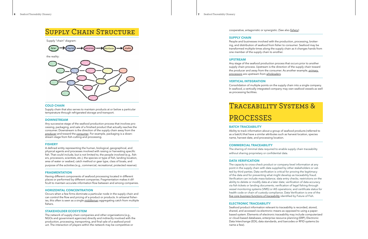# Supply Chain Structure

#### **COLD CHAIN**

Supply chain that also serves to maintain products at or below a particular temperature through refrigerated storage and transport.

#### **DOWNSTREAM**

Any successive stage of the seafood production process that involves pro cessing, packaging, and sale of a finished product that actually reaches the consumer. Downstream is the direction of the supply chain away from the *[producer](#page-2-0)* and toward the *[consumer](#page-1-1)*. For example, packaging is a down stream stage from fish-cutting and processing.

#### <span id="page-3-0"></span>**FISHERY**

A defined entity representing the human, biological, geographical, and physical agents and processes involved with raising or harvesting specific fish. That could include, but is not limited to, the people involved (e.g., fish ers, processors, scientists, etc.), the species or type of fish, landing location, area of water or seabed, catch method or gear type, class of boats, and purpose of the activities (e.g., commercial, recreational, protected reserve).

#### **FRAGMENTATION**

Having different components of seafood processing located in different places or performed by different companies. Fragmentation makes it dif ficult to maintain accurate information flow between and among companies.

#### **HORIZONTAL CONCENTRATION**

Occurs when a few firms dominate a particular node in the supply chain and can control the flow and pricing of a product or products. In artisanal fisher ies, this often is seen as a single *[middleman](#page-2-3)* aggregating catch from multiple fishers.

#### **STAKEHOLDER ECOSYSTEM**

The network of supply chain companies and other organizations (e.g., NGOs and government agencies) directly and indirectly involved with the production, processing, transporting, and final sale of a seafood prod uct. The interaction of players within the network may be competitive or

Supply "chain" diagram:



the reality:



cooperative, antagonistic or synergistic. (See also *[fishery](#page-3-0)* )

#### **SUPPLY CHAIN**

People and businesses involved with the production, processing, broker ing, and distribution of seafood from fisher to consumer. Seafood may be transformed multiple times along the supply chain as it changes hands from one member of the supply chain to another.

#### **UPSTREAM**

Any stage of the seafood production process that occurs prior to another supply chain process. Upstream is the direction of the supply chain toward the producer and away from the consumer. As another example, *[primary](#page-2-2)  [processors](#page-2-2)* are upstream from *[wholesalers](#page-2-1)* .

#### **VERTICAL INTEGRATION**

Consolidation of multiple points on the supply chain into a single company. In seafood, a vertically integrated company may own seafood vessels as well as processing facilities.



# PROCESSES

#### **BATCH TRACEABILITY**

Ability to track information about a group of seafood products (referred to as a batch) that have a similar attributes such as harvest location, species name, harvest date, and processing location.

#### **COMMERCIAL TRACEABILITY**

The sharing of minimal data required to enable supply chain traceability without sharing proprietary or confidential data.

#### **DATA VERIFICATION**

The capacity to cross-check product or company-level information at any point in the supply chain with data supplied by other stakeholders or vet ted by third parties. Data verification is critical for proving the legitimacy of the data and for preventing what might develop as traceability fraud. Verification can include mass-balance; data entry checks; restrictions on the ability to delete or modify data at a later date; verification of data accuracy via fish tickets or landing documents; verification of legal fishing through vessel monitoring systems (VMS) or AIS operations; and certificate status for health code or chain of custody compliance. Data Verification is one of the *[five core business functions of traceability](http://futureoffish.org/content/t101-five-core-functions)* identified by Future of Fish.

#### **ELECTRONIC TRACEABILITY**

Seafood product information relevant to traceability is recorded, stored, shared, and accessed via electronic means as opposed to using a paperbased system. Elements of electronic traceability may include computerized or cloud-based databases, enterprise resource planning (ERP), Electronic Data Interchange (EDI), data standards, and barcodes or RFID systems (to name a few).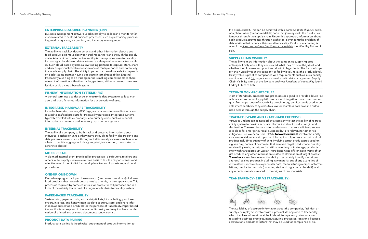#### **ENTERPRISE RESOURCE PLANNING (ERP)**

Business management software used internally to collect and monitor infor mation related to seafood business processes, such as purchasing, process ing, marketing, sales, accounting, and inventory management.

#### **EXTERNAL TRACEABILITY**

The ability to track key data elements and other information about a sea food product as it moves between trading partners and through the supply chain. At a minimum, external traceability is one-up, one-down traceability. Increasingly, cloud-based data systems can also provide external traceabil ity. Such cloud-based systems allow trading partners to capture, store, share and access product-level information across multiple nodes and potentially, the whole supply chain. The ability to perform external traceability depends on each trading partner having adequate internal traceability. External traceability also hinges on trading partners making commitments to share relevant information with other trading partners, either in one-up, one-down

fashion or via a cloud-based system.

#### **FISHERY INFORMATION SYSTEMS (FIS)**

A general term used to describe an electronic data system to collect, man age, and share fisheries information for a wide variety of uses.

#### **INTEGRATED HARDWARE TRACEABILITY**

Includes *[barcodes](#page-5-0)*, *[readers](#page-5-1)*, *[RFID tags](#page-5-2)*, and scanners to record information related to seafood products for traceability purposes. Integrated systems typically dovetail with a company's computer systems, such as financial, information technology, and inventory management systems.

#### **INTERNAL TRACEABILITY**

The ability of a company to both track and preserve information about individual batches or units as they move through its facility. The tracking and data preservation must exist throughout all internal processes, such as when a batch or unit is aggregated, disaggregated, transformed, transported or otherwise altered.

#### **MOCK RECALL**

A planned internal event practiced by processors, distributors, retailers and others in the supply chain on a routine basis to test the responsiveness and effectiveness of their individual recall plans, traceability systems, and recall procedures.

#### **ONE-UP, ONE-DOWN**

Record-keeping to track purchases (one up) and sales (one down) of all sea food products that move through a particular entity in the supply chain. This process is required by some countries for product recall purposes and is a form of traceability that is part of a larger whole chain traceability system.

#### **PAPER-BASED TRACEABILITY**

System using paper records, such as trip tickets, bills of lading, purchase orders, invoices, and handwritten labels to capture, store, and share infor mation about seafood products for the purpose of traceability. Paper-based traceability is widespread in the seafood industry and may involve a combi nation of printed and scanned documents sent via email.

#### **PRODUCT-DATA PAIRING**

Product-data pairing is the physical attachment of product information to

the product itself. This can be achieved with a *[barcode](#page-5-0)*, *[RFID chip](#page-5-2)*, *[QR code](#page-5-3)*, or alphanumeric (human-readable) code that journeys with the product as it moves through the supply chain. Under this approach, information about each product accumulates through each step, eliminating the problem of data attrition that occurs with internal traceability. Product-data pairing is one of the *[five core business functions of traceability](http://futureoffish.org/content/t101-five-core-functions)* identified by Future of Fish.

#### **SUPPLY CHAIN VISIBILITY**

The ability to know information about the companies supplying prod ucts—specifically where they are located, what they do, how they do it, and whether their licenses and practices fall within legal limits. The focus of sup ply chain visibility is at the company or facility level, not at the product level. Its key value is proof of compliance with requirements such as sustainability certifications and *[IUU](#page-6-0)* regulations, as well as with risk management. Supply Chain Visibility is one of the *[five core business functions of traceability](http://futureoffish.org/content/t101-five-core-functions)* identi fied by Future of Fish.

#### **TECHNOLOGY ARCHITECTURE**

A set of standards, protocols and processes designed to provide a blueprint of how various technology platforms can work together towards a common goal. For the purpose of traceability, a technology architecture is used to en able interoperability of systems to allow for seamless data flow and autho rized access through the supply chain.

#### **TRACK-FORWARD AND TRACE-BACK EXERCISES**

Activities undertaken as-needed by a company to test the ability of its trace ability system to provide accurate information about product origin and destination. The exercises are often undertaken to ensure efficient process is in place for emergency recall purposes but are relevant for other risk mitigation. See overview here. **Track-forward exercises** involve the ability to accurately identify and report on information related to a target/recalled product including: quantity of units involving target product produced on a given day; names of customers that received target product and quantity received by each; target product still in inventory or in storage; products into which target product was an ingredient; write-offs or stock waste of tar get product; any other information related to destination of target product. **Trace-back exercises** involve the ability to accurately identify the origins of a target/recalled product, including: raw material suppliers; quantities of raw materials received on a particular date; manufacturing recipes or formu lations; production records (including staff working a particular shift); and any other information related to the origins of raw materials.

## **TRANSPARENCY (ESP. VS TRACEABILITY)**



The availability of accurate information about the companies, facilities, or supply-chain players involved with a product. As opposed to traceability, which involves information at the lot-level, transparency is information related to business practices, manufacturing processes, locations, licenses, certifications, and other factors that may be used for compliance or risk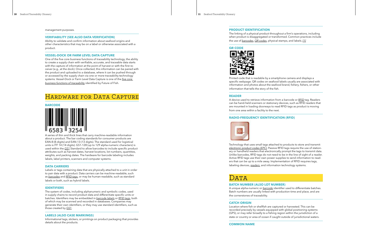management purposes.

#### **VERIFIABILITY (SEE ALSO DATA VERIFICATION)**

Ability to validate and confirm information about seafood origins and other characteristics that may be on a label or otherwise associated with a product.

#### **VESSEL-DOCK OR FARM LEVEL DATA CAPTURE**

One of the five core business functions of traceability technology, the ability to create a supply chain with verifiable, accurate, and traceable data starts with the capture of information at the point of harvest or with the first re ceiver (e.g., at the dock). Once collected, this information can be paired with the product and uploaded to a database, where it can be pushed through or accessed by the supply chain via one or more traceability technology systems. Vessel-Dock or Farm Level Data Capture is one of the *[five core](http://futureoffish.org/content/t101-five-core-functions)  [business functions of traceability](http://futureoffish.org/content/t101-five-core-functions)* identified by Future of Fish.

## HARDWARE FOR DATA CAPTURE

#### <span id="page-5-0"></span>**BARCODE**



A series of thin and thick lines that carry machine-readable information about a product. The bar coding standards for consumer products are EAN-8 (8-digits) and EAN-13 (13 digits). The standard used for logistical units is ITF 14 (14 digits). GS1-128 (up to 129 alpha-numeric characters) is used within the *[GS1](#page-11-0)* Standard to allow barcodes to include specific product attributes such as harvest dates, harvest locations, lot numbers, quantities, weights, and packing dates. The hardware for barcode labeling includes labels, label printers, scanners and computer systems.

#### **DATA CARRIERS**

Labels or tags containing data that are physically attached to a unit in order to pair data with a product. Data carriers can be machine-readable, such as *[barcodes](#page-5-0)* and *[RFID tags](#page-5-2)*, or may be human-readable, such as standard labels or both, such as hybrid labels.

#### **IDENTIFIERS**

The system of codes, including alphanumeric and symbolic codes, used in supply chains to record product data and differentiate specific units or batches. Identifiers may be embedded in *[barcode labels](#page-5-0)* or *[RFID tags](#page-5-2)*, both of which may be scanned and recorded in databases. Companies may generate their own identifiers, or they may use standard identifiers, such as those created by *[GS1](#page-11-0)* .

#### **LABELS (ALSO CASE MARKINGS)**

Informational tags, stickers, or printings on product packaging that provides details about the products.

**PRODUCT IDENTIFICATION**

The linking of a physical product throughout a firm's operations, including when product is disaggregated or transformed. Common practices include the use of *[barcodes](#page-5-0)*, *[QR codes](#page-5-3)*, physical stamps, and labels. *[\[1\]](#page-11-1)*

#### <span id="page-5-3"></span>**QR CODE**



Printed code that is readable by a smartphone camera and displays a specific webpage. QR codes on seafood labels usually are associated with information and photos about the seafood brand, fishery, fishers, or other information that tells the story of the fish.

#### <span id="page-5-1"></span>**READER**

A device used to retrieve information from a barcode or *[RFID](#page-5-2)* tag. Readers can be hand-held scanners or stationary devices, such as RFID readers that are mounted in loading doorways to read RFID tags as product is moving from one area within a facility to the next.

#### <span id="page-5-2"></span>**RADIO-FREQUENCY IDENTIFICATION (RFID)**



Technology that uses small tags attached to products to store and transmit *[electronic product codes \(EPC\)](#page-5-4)*. Passive RFID tags require the use of station ary or handheld readers that electronically prompt the tags to transmit data. Unlike barcodes, RFID tags do not need to be in the line of sight of a reader. Active RFID tags use their own power supplies to send information to read ers that can be up to a mile away. Implementation of RFID requires tags, labeling devices, *[readers](#page-5-1)*, and information technology systems.

## DATA

#### **BATCH NUMBER (ALSO LOT NUMBER)**

A unique alpha-numeric or *[barcode](#page-5-0)* identifier used to differentiate batches. Batch numbers are usually linked with production time and place, and are the cornerstones of traceability.

#### **CATCH ORIGIN**

Location where fish or shellfish are captured or harvested. This can be recorded precisely by vessels equipped with global positioning systems (GPS), or may refer broadly to a fishing region within the jurisdiction of a state or country or area of ocean if caught outside of jurisdictional waters.

<span id="page-5-4"></span>**COMMON NAME**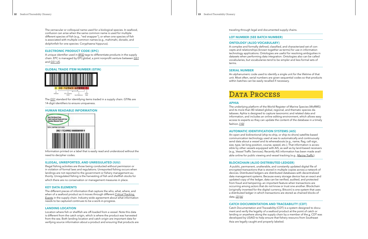The vernacular or colloquial name used for a biological species. In seafood, confusion can arise when the same common name is used for multiple different species of fish (e.g., "red snapper"), or when one species of fish is associated with multiple common names (e.g., mahimahi, dorado, and dolphinfish for one species: Coryphaena hippurus).

#### **ELECTRONIC PRODUCT CODE (EPC)**

A unique identifier used in *[RFID](#page-5-2)* tags to differentiate products in the supply chain. EPC is managed by EPCglobal, a joint nonprofit venture between *[GS1](#page-11-0)* and *[GS1 US](http://www.gs1us.org)*.

**GLOBAL TRADE ITEM NUMBER (GTIN)**



The *[GS1](#page-11-0)* standard for identifying items traded in a supply chain. GTINs are 14-digit identifiers to ensure uniqueness.

#### **HUMAN READABLE INFORMATION**



Information printed on a label that is easily read and understood without the need to decipher codes.

#### <span id="page-6-0"></span>**ILLEGAL, UNREPORTED, AND UNREGULATED (IUU)**

Illegal fishing activities are those being conducted without permission or in violation of formal laws and regulations. Unreported fishing occurs when landings are not reported to the government or fishery management au thority. Unregulated fishing is the harvesting of fish and shellfish stocks for which there are no conservation or management measures in place.

#### **KEY DATA ELEMENTS**

The different pieces of information that capture the who, what, where, and when of a seafood product as it moves through different *Critical Tracking Events* in the supply chain. Industry-wide agreement about what information needs to be captured continues to be a work-in-progress.

#### **LANDING LOCATION**

Location where fish or shellfish are off-loaded from a vessel. Note this data is different from the catch origin, which is where the product was harvested from the sea. Both landing location and catch origin are important data for verifying source information about a product and ensuring that products are traveling through legal and documented supply chains.

#### **LOT NUMBER (SEE BATCH NUMBER)**

#### **ONTOLOGY (ALSO VOCABULARY)**

A complex and formally defined, classified, and characterized set of con cepts and relationships (known together as terms) for use in information technology applications. Ontologies are useful for resolving ambiguities in datasets when performing data integration. Ontologies also can be called vocabularies, but vocabularies tend to be simpler and less formal sets of terms.

#### **SERIAL NUMBER**

An alphanumeric code used to identify a single unit for the lifetime of that unit. Most often, serial numbers are given sequential codes so that products within batches can be easily recalled if necessary.



#### **APHIA**

The underlying platform of the World Register of Marine Species (WoRMS) and its more than 80 related global, regional, and thematic species da tabases. Aphia is designed to capture taxonomic and related data and information, and includes an online editing environment, which allows easy access to experts so they can update the content of the database in a timely fashion. *[\[10\]](#page-1-2)*

#### **AUTOMATIC IDENTIFICATION SYSTEMS (AIS)**

An open and bidirectional (ship-to-ship, or ship-to-shore) satellite-based communication technology used at sea to automatically and continuously send data about a vessel and its whereabouts (e.g., name, flag, call-sign, size, type, lat-long position, course, speed, etc.). That information is acces sible by other vessels equipped with AIS, as well as by land-based receivers (e.g., Vessel Traffic Services). Recently AIS information has been made avail able online for public viewing and vessel tracking (e.g., *[Marine Traffic](https://www.marinetraffic.com/)*).

#### <span id="page-6-1"></span>**BLOCKCHAIN (ALSO DISTRIBUTED LEDGER)**

 A public, permanent, unalterable, and constantly updated digital file of encrypted transactions that is stored in multiple copies across a network of devices. Distributed ledgers are distributed databases with decentralized data management systems. Because every storage device has an exact and updated copy of the ledger, data can be verified, audited, and protected from fraud and tampering—an important feature when transactions are occurring among actors that do not know or trust one another. Blockchain (originally invented for the digital currency, Bitcoin) is one system that uses a distributed ledger in which transactions are stored as chained blocks of data. *[\[2\]](#page-11-2) [\[6\]](#page-1-2)*

#### **CATCH DOCUMENTATION AND TRACEABILITY (CDT)**

Catch Documentation and Traceability (CDT) is a system designed to docu ment and verify the legality of a seafood product at the point of catch or landing or anywhere along the supply chain by a member of the *a*. CDT was developed by USAID to help ensure that fishery resourcs from Southeast Asia are legally caught and properly labeled.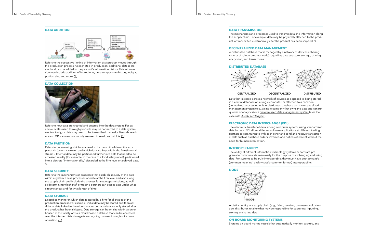**DATA ADDITION**



Refers to the successive linking of information as a product moves through the production process. At each step in production, additional data is cre ated and can be added to the product's information history. This informa tion may include addition of ingredients, time–temperature history, weight, portion size, and more. *[\[1\]](#page-11-1)*

#### **DATA COLLECTION**



Refers to how data are created and entered into the data system. For ex ample, scales used to weigh products may be connected to a data system electronically, or data may need to be transcribed manually. Barcode read ers and QR scanners commonly are used to read product IDs. *[\[1\]](#page-11-1)*

#### **DATA PARTITION**

Refers to determining which data need to be transmitted down the sup ply chain (external stream) and which data are kept within the firm (internal stream). Internal data may be partitioned further into data that need to be accessed readily (for example, in the case of a food safety recall), partitioned into a discrete "information silo," discarded at the firm level or archived data. *[\[1\]](#page-11-1)*

#### **DATA SECURITY**

Refers to the mechanisms or processes that establish security of the data within a system. These processes operate at the firm level and also along the supply chain and include the process for setting permissions, as well as determining which staff or trading partners can access data under what circumstances and for what length of time.

#### **DATA STORAGE**

Describes manner in which data is stored by a firm for all stages of the production process. For example, initial data may be stored and then ad ditional data linked to the older data, or perhaps data are only stored after the product has been shipped. Data storage can be on-site within a server housed at the facility or via a cloud-based database that can be accessed over the internet. Data storage is an ongoing process throughout a firm's operation. *[\[1\]](#page-11-1)*





#### **DATA TRANSMISSION**

The mechanisms and processes used to transmit data and information along the supply chain. For example, data may be physically attached to the prod uct, or transmitted electronically after the product has been shipped. *[\[1\]](#page-11-1)*

#### <span id="page-7-0"></span>**DECENTRALIZED DATA MANAGEMENT**

A distributed database that is managed by a network of devices adhering to a set of rules (computer code) regarding data structure, storage, sharing, encryption, and transactions.

#### **DISTRIBUTED DATABASE**



#### **CENTRALIZED DECENTRALIZED DISTRIBUTED**

Data that is stored across a network of devices as opposed to being stored in a central database on a single computer, or attached to a common (centralized) processing unit. A distributed database can have centralized management system (e.g., a single company that owns the data and can run queries or analytics) or a *[decentralized data management system](#page-7-0)* (as is the case with *[distributed ledgers](#page-6-1)*).

#### **ELECTRONIC DATA INTERCHANGE (EDI)**

The electronic transfer of data among computer systems using standardized data formats. EDI allows different software applications at different trading partners to communicate with each other and send and receive transaction al data such as purchase orders, invoices, and notices of receipt without the need for human intervention.

#### **INTEROPERABILITY**

The ability of different information technology systems or software pro grams to communicate seamlessly for the purpose of exchanging and using data. For systems to be truly interoperable, they must have both *[semantic](#page-8-0)* (common meaning) and *syntactic* (common format) interoperability.

#### **NODE**

node

A distinct entity in a supply chain (e.g., fisher, receiver, processor, cold stor age, distributor, retailer) that may be responsible for capturing, inputting, storing, or sharing data.

# **ON-BOARD MONITORING SYSTEMS**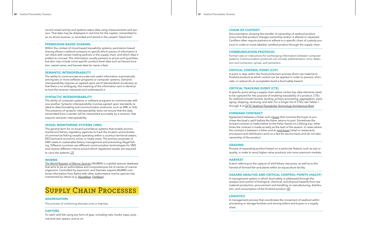record vessel activity and systems status data using measurements and sen sors. That data may be displayed in real time for the captain, transmitted to an on-shore receiver, or recorded and stored in the vessel's "black box".

#### **PERMISSION-BASED SHARING**

Within the context of cloud-based traceability systems, permission-based sharing allows a seafood company to specify which pieces of information it can share with certain trading partners in the supply chain, and which data it prefers to conceal. This information usually pertains to prices and quantities, but also may include more specific product-level data such as harvest loca tion, vessel name, and harvest date (to name a few).

#### <span id="page-8-0"></span>**SEMANTIC INTEROPERABILITY**

The ability to communicate accurate and useful information automatically among two or more software programs or computer systems. Semantic interoperability requires an agreed-upon set of standardized vocabulary so that there is no ambiguity; the meaning of the information sent is identical to how the receiver interprets and understands it.

#### **SYNTACTIC INTEROPERABILITY**

The ability of computer systems or software programs to communicate with one another. Syntactic interoperability involves agreed upon standards re lated to data formatting and communication protocols, such as XML or SQL. The presence of syntactic interoperability does not ensure that the data transmitted from a sender will be interpreted accurately by a receiver; that requires semantic interoperability.

#### **VESSEL MONITORING SYSTEMS (VMS)**

The general term for on-board surveillance systems that enable environ mental and fishery regulatory agencies to track the location and activities of commercial fishing vessels operating within a country's territorial waters, EEZ (exclusive economic zone), or treaty areas. The primary purposes of VMS relate to sustainable fishery management and preventing illegal fish ing. Different countries use different communication technologies for VMS and impose different criteria around which registered vessels are required to carry the systems. *[\[7\]](#page-11-3)*

#### **WORMS**

*[The World Register of Marine Species](http://www.marinespecies.org/about.php)* (WoRMS) is a global species database that aims to be an authoritative and comprehensive list of names of marine organisms. Controlled by taxonomic and thematic experts,WoRMS com bines information from Aphia with other authoritative marine species lists maintained by others (e.g. *[AlgaeBase](http://www.algaebase.org/)*, *[FishBase](http://www.fishbase.org/)*).

# Supply Chain Processes

#### <span id="page-8-1"></span>**AGGREGATION**

The process of combining discrete units or batches.

#### **CAPTURE**

To catch wild fish using any form of gear, including nets, hooks, traps, pots, rod-and-reel, spears, and so on.

#### **CHAIN OF CUSTODY**

Documentation showing the transfer of ownership of seafood product every time that product changes ownership and/or is altered or repacked. Certifiers often require partners to adhere to a specific chain of custody pro tocol in order to move labeled, certified product through the supply chain.

#### **COMMUNICATION PROTOCOL**

Formal rules or instructions for exchanging information between computer systems. Communication protocols can include authentication, error detec tion and correction, syntax, and semantics.

#### **CRITICAL CONTROL POINT (CCP)**

A point or step within the food-production process (from raw material to finished product) at which control can be applied in order to prevent, elimi nate, or reduce (to an acceptable level) a food safety hazard.

## **CRITICAL TRACKING EVENT (CTE)**

A specific point along a supply chain where certain key data elements need to be captured for the purpose of enabling traceability of a product. CTEs for seafood include harvest, landing, primary processing, aggregation, pack aging, shipping, receiving, and sale. For a longer list of CTEs, see Tables 1 through 4 of *[GFTC Seafood Traceability Technology Architecture Brief](http://onlinelibrary.wiley.com/doi/10.1111/1541-4337.12187/full)*.

#### **FORWARD CONTRACT**

Agreement between a fisher and a *[buyer](#page-1-0)* that commits the buyer to pur chase the boat's catch before the fisher returns to port. Sometimes the forward contract is made before to the fisher leaves on a fishing trip; other times the contract is made as early as the start of the season. In cases where the contract is between a fisher and an *[end buyer](#page-2-4)* (retail or restaurant), processors and distributors work on a fee-for-service basis and do not take ownership of the product.

#### **GRADING**

Process of separating product based on a particular feature, such as size or quality, in order to send higher-value products into more premium markets.

#### **HARVEST**

A term referring to the capture of wild fishery resources, as well as to the harvest of farmed fish and plants within an aquaculture facility.

## **HAZARD ANALYSIS AND CRITICAL CONTROL POINTS (HACCP)**

A management system in which food safety is addressed through the analysis and control of biological, chemical, and physical hazards from raw material production, procurement and handling, to manufacturing, distribu tion, and consumption of the finished product. *[\[9\]](#page-1-2)*

#### **LOGISTICS**

A management process that coordinates the movement of seafood within processing or storage facilities and among sellers and buyers in a supply chain.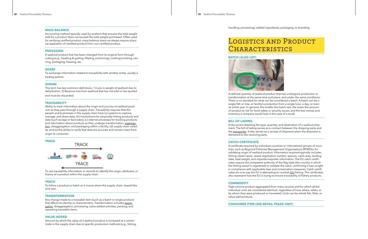#### **MASS BALANCE**

Accounting method typically used by auditors that ensures the total weight sold for a product does not exceed the total weight purchased. Often used for verifying certified product, mass balance does not always require physi cal separation of certified product from non-certified product.

#### **PROCESSED**

A seafood product that has been changed from its original form through cutting (e.g., heading & gutting, filleting, portioning), cooking/smoking, can ning, packaging, freezing, etc.

#### **SHARE**

To exchange information related to traceability with another entity, usually a trading partner.

#### **SHRINK**

This term has two common definitions: 1) Loss in weight of seafood due to dehydration; 2) Revenue loss from seafood that has not sold or has spoiled and must be discarded.

#### **TRACEABILITY**

Ability to track information about the origin and journey of seafood prod ucts as they pass through a supply chain. Traceability requires that the people and businesses in the supply chain have (a) systems to capture, manage, and share data; (b) mechanisms for physically linking products and data (such as tags or barcodes); (c) internal processes for tracking products and information about products as they undergo transformation, *[aggrega](#page-8-1) [tion](#page-8-1)*, disaggregation, and packaging within a facility; (d) supply chain visibil ity, and (e) the ability to verify that data are accurate and remain intact from origin to consumer.



To use traceability information or records to identify the origin, attributes, or history of a product within the supply chain.

#### **TRACK**

To follow a product or batch as it moves down the supply chain, toward the end user.

#### **TRANSFORMATION**

Any change made to a traceable item (such as a batch or single product) that affects its identity or characteristics. Transformation includes *[aggre](#page-8-1) [gation](#page-8-1)*, disaggregation, processing, value-added activities, packing, and repacking traceable items.

#### **VALUE-ADDED**

Amount by which the value of a seafood product is increased at a certain node in the supply chain due to specific production methods (e.g., fishing,

# LOGISTICS AND PRODUCT **CHARACTERISTICS**

handling, processing), added ingredients, packaging, or branding.

#### **BATCH (ALSO LOT)**



A defined quantity of seafood product that has undergone production or transformation at the same time and place, and under the same conditions. There is no standard for what can be considered a batch. A batch can be a single fish or tote, or facility's production from a single hour, a day, or even an entire year. In general, the smaller the batch size, the lower the amount of product at risk for food safety or security issues, and the less money and inventory a company would lose in the case of a recall.

#### **BILL OF LADING**

A document detailing the type, quantity, and destination of a seafood ship ment. The bill of lading serves as a contract between the shipping party and the *[transporter](#page-2-5)*. It also serves as a receipt of shipment when the shipment is delivered to the receiving party.

#### **CATCH CERTIFICATE**

A certificate required by individual countries or international groups of coun tries, such as Regional Fisheries Management Organizations (RFMOs), for validating origin of seafood product. Information required typically includes fishing vessel name, vessel registration number, species, catch area, landing date, total weight, and importer/exporter information. The EU catch certifi cates require the competent authority of the flag state (the country in which the fishing vessel is registered) to validate the catch, confirming it was caught in compliance with applicable laws and conservation measures. Catch certifi cates are one way the EU is attempting to combat *[IUU](#page-6-0)* fishing. The certificates also represent how the EU is trying to ensure traceability of fishery products.

#### **COMMODITY**

High-volume product aggregated from many sources and for which all the individual units are considered identical, regardless of how, where, when, or by whom they were produced or harvested. Units can be whole fish, filets, or value-add products.

#### **CONSUMER ITEM (SEE RETAIL TRADE UNIT)**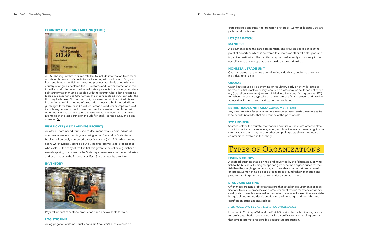#### **COUNTRY OF ORIGIN LABELING (COOL)**



A U.S. labeling law that requires retailers to include information to consum ers about the source of certain foods including wild and farmed fish, and fresh and frozen shellfish. An imported product must be labeled with the country of origin as declared to U.S. Customs and Border Protection at the time the product entered the United States; products that undergo substan tial transformation must be labeled with the country where that processing took place according to CPB *[rulings](http://rulings.cbp.gov/)*. This means seafood transformed in the U.S. may be labeled "From country X, processed within the United States." In addition to origin, method of production must also be included, distin guishing wild vs. farm-raised product. Seafood products exempt from COOL include any cooked, cured, or smoked products; seafood combined with other foods or sauces, or seafood that otherwise has been "restructured." Examples of this last distinction include fish sticks, canned tuna, and clam chowder. *[\[4\]](#page-11-3)*

#### **FISH TICKET (ALSO LANDING RECEIPT)**

An official State-issued form used to document details about individual commercial seafood landings occurring in that State. Most States issue booklets of uniquely numbered paper fish tickets (with 2-3 carbon copies each), which typically are filled out by the first receiver (e.g., processor or wholesaler). One copy of the fish ticket is given to the seller (e.g., fisher or vessel captain), one is sent to the State department responsible for fisheries, and one is kept by the first receiver. Each State creates its own forms.

#### **INVENTORY**



Physical amount of seafood product on hand and available for sale.

#### **LOGISTIC UNIT**

An aggregation of items (usually *[nonretail trade units](#page-10-0)* such as cases or

crates) packed specifically for transport or storage. Common logistic units are pallets and containers.

#### **LOT (SEE BATCH)**

#### <span id="page-10-0"></span>**MANIFEST**

A document listing the cargo, passengers, and crew on board a ship at the point of departure, which is delivered to customs or other officials upon land ing at the destination. The manifest may be used to verify consistency in the vessel's cargo and occupants between departure and arrival.

#### **NONRETAIL TRADE UNIT**

Cases or crates that are not labeled for individual sale, but instead contain individual retail units.

#### **QUOTAS**

Catch limits issued by a governing or regulatory body on the wild-catch or harvest of a fish stock or fishery resource. Quotas may be set for an entire fish ery (total allowable catch) and/or divided into individual fishing quotas (IFQ) for fishers. Quotas are typically set at the start of a fishing season and may be adjusted as fishing ensues and stocks are monitored.

#### **RETAIL TRADE UNIT (ALSO CONSUMER ITEM)**

Any item intended for sale to the end consumer. Retail trade units tend to be labeled with *[barcodes](#page-5-0)* that are scanned at the point of sale.

#### **STORIED FISH**

Seafood sold with accurate information about its journey from water to plate. This information explains where, when, and how the seafood was caught, who caught it, and often may include other compelling facts about the people or communities involved in the fishery.



#### **FISHING CO-OPS**

A seafood business that is owned and governed by the fishermen supplying fish to the business. Fishing co-ops can give fishermen higher prices for their fish than they might get otherwise, and may also provide dividends based on profits. Some fishing co-ops agree to rules around fishery management, product handling standards, or sell under a common brand.

#### **STANDARD-SETTING**

Often these are non-profit organizations that establish requirements or speci fications to ensure processes and products meet criteria for safety, efficiency, quality, etc. Examples involved in the seafood arena include entities establish ing guidelines around data identification and exchange and eco-label and certification organizations, such as:

## *AQUACULTURE STEWARDSHIP COUNCIL (ASC):*

Founded in 2012 by WWF and the Dutch Sustainable Trade Initiative, this not for profit organization sets standards for a certification and labeling program that aims to promote responsible aquaculture production.